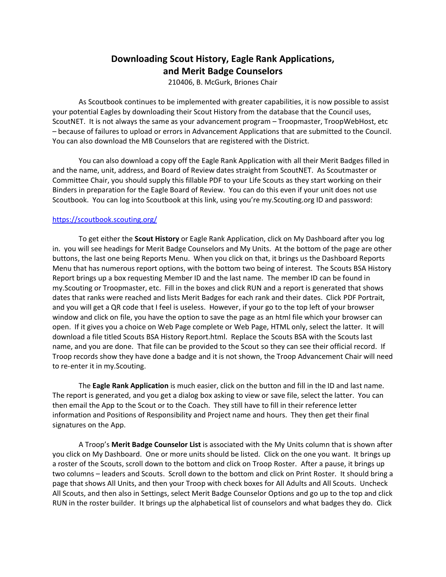## **Downloading Scout History, Eagle Rank Applications, and Merit Badge Counselors**

210406, B. McGurk, Briones Chair

As Scoutbook continues to be implemented with greater capabilities, it is now possible to assist your potential Eagles by downloading their Scout History from the database that the Council uses, ScoutNET. It is not always the same as your advancement program – Troopmaster, TroopWebHost, etc – because of failures to upload or errors in Advancement Applications that are submitted to the Council. You can also download the MB Counselors that are registered with the District.

You can also download a copy off the Eagle Rank Application with all their Merit Badges filled in and the name, unit, address, and Board of Review dates straight from ScoutNET. As Scoutmaster or Committee Chair, you should supply this fillable PDF to your Life Scouts as they start working on their Binders in preparation for the Eagle Board of Review. You can do this even if your unit does not use Scoutbook. You can log into Scoutbook at this link, using you're my.Scouting.org ID and password:

## <https://scoutbook.scouting.org/>

To get either the **Scout History** or Eagle Rank Application, click on My Dashboard after you log in. you will see headings for Merit Badge Counselors and My Units. At the bottom of the page are other buttons, the last one being Reports Menu. When you click on that, it brings us the Dashboard Reports Menu that has numerous report options, with the bottom two being of interest. The Scouts BSA History Report brings up a box requesting Member ID and the last name. The member ID can be found in my.Scouting or Troopmaster, etc. Fill in the boxes and click RUN and a report is generated that shows dates that ranks were reached and lists Merit Badges for each rank and their dates. Click PDF Portrait, and you will get a QR code that I feel is useless. However, if your go to the top left of your browser window and click on file, you have the option to save the page as an html file which your browser can open. If it gives you a choice on Web Page complete or Web Page, HTML only, select the latter. It will download a file titled Scouts BSA History Report.html. Replace the Scouts BSA with the Scouts last name, and you are done. That file can be provided to the Scout so they can see their official record. If Troop records show they have done a badge and it is not shown, the Troop Advancement Chair will need to re-enter it in my.Scouting.

The **Eagle Rank Application** is much easier, click on the button and fill in the ID and last name. The report is generated, and you get a dialog box asking to view or save file, select the latter. You can then email the App to the Scout or to the Coach. They still have to fill in their reference letter information and Positions of Responsibility and Project name and hours. They then get their final signatures on the App.

A Troop's **Merit Badge Counselor List** is associated with the My Units column that is shown after you click on My Dashboard. One or more units should be listed. Click on the one you want. It brings up a roster of the Scouts, scroll down to the bottom and click on Troop Roster. After a pause, it brings up two columns – leaders and Scouts. Scroll down to the bottom and click on Print Roster. It should bring a page that shows All Units, and then your Troop with check boxes for All Adults and All Scouts. Uncheck All Scouts, and then also in Settings, select Merit Badge Counselor Options and go up to the top and click RUN in the roster builder. It brings up the alphabetical list of counselors and what badges they do. Click